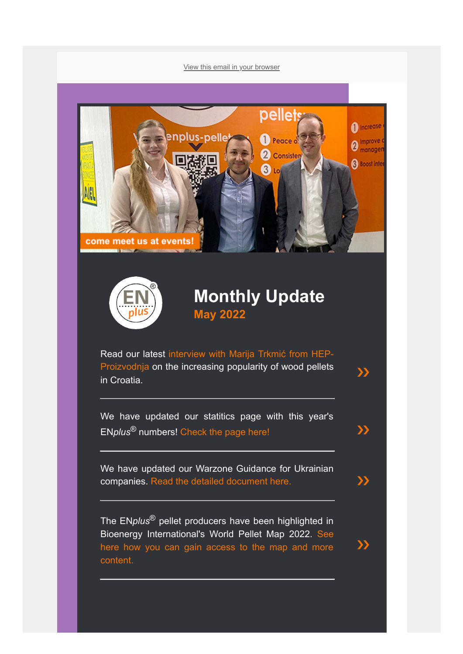[View this email in your browser](https://mailchi.mp/db3ce7c50024/enplus-statistics-1000-certified-companies-and-more-977449?e=[UNIQID])





## **Monthly Update May 2022**

 $\sum$ 

 $\sum$ 

Read our [latest interview with Marija Trkmić from HEP-](https://enplus-pellets.eu/en-in/news-events/latest-news/652-marija-trkmi%C4%87-from-hep-proizvodnja-on-pellets%E2%80%99-increasing-popularity-in-croatia.html)Proizvodnja on the increasing popularity of wood pellets in Croatia.

We have updated our statitics page with this year's EN*plus*® numbers! [Check the page here!](https://enplus-pellets.eu/en-in/latest-statistics.html) [❯❯](https://enplus-pellets.eu/en-in/latest-statistics.html)

We have updated our Warzone Guidance for Ukrainian companies. [Read the detailed document here.](https://enplus-pellets.eu/en-in/news-events/latest-news/579-enplus%C2%AE-introduces-war-zone-guidance.html) [❯❯](https://enplus-pellets.eu/en-in/news-events/latest-news/579-enplus%C2%AE-introduces-war-zone-guidance.html)

The EN*plus*® pellet producers have been highlighted in [Bioenergy International's World Pellet Map 2022. See](https://bioenergyinternational.com/e-magazine/) here how you can gain access to the map and more content.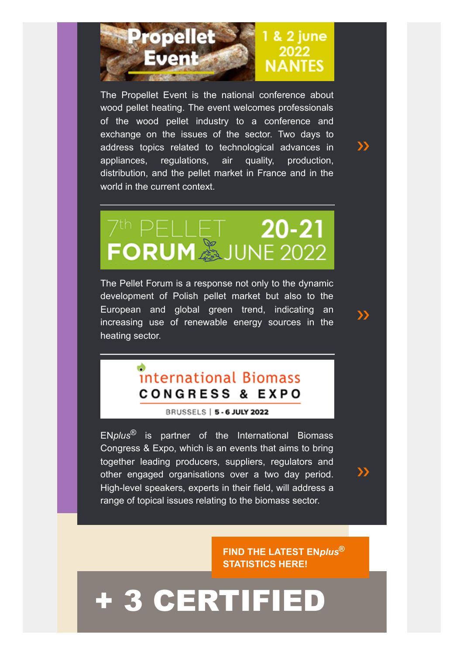

The Propellet Event is the national conference about wood pellet heating. The event welcomes professionals of the wood pellet industry to a conference and exchange on the issues of the sector. Two days to address topics related to technological advances in appliances, regulations, air quality, production, distribution, and the pellet market in France and in the world in the current context.

 $\boldsymbol{\Sigma}$ 

[❯❯](https://enplus-pellets.eu/en-in/news-events/latest-events/505-7th-pellet-forum.html)

[❯❯](https://www.bioenergy-news.com/conference/biomass/biomass_index_2022.php)

## 7<sup>th</sup> PELLET 20-21<br>FORUM SJUNE 2022

The Pellet Forum is a response not only to the dynamic development of Polish pellet market but also to the European and global green trend, indicating an increasing use of renewable energy sources in the heating sector.

## international Biomass **CONGRESS & EXPO**

BRUSSELS | 5 - 6 JULY 2022

EN*plus*® is partner of the International Biomass Congress & Expo, which is an events that aims to bring together leading producers, suppliers, regulators and other engaged organisations over a two day period. High-level speakers, experts in their field, will address a range of topical issues relating to the biomass sector.

> **[FIND THE LATEST EN](https://enplus-pellets.eu/en-in/latest-statistics.html)***plus***® STATISTICS HERE!**

## [+ 3 CERTIFIED](https://enplus-pellets.eu/en-in/certifications-en-in/producer-en-in.html)